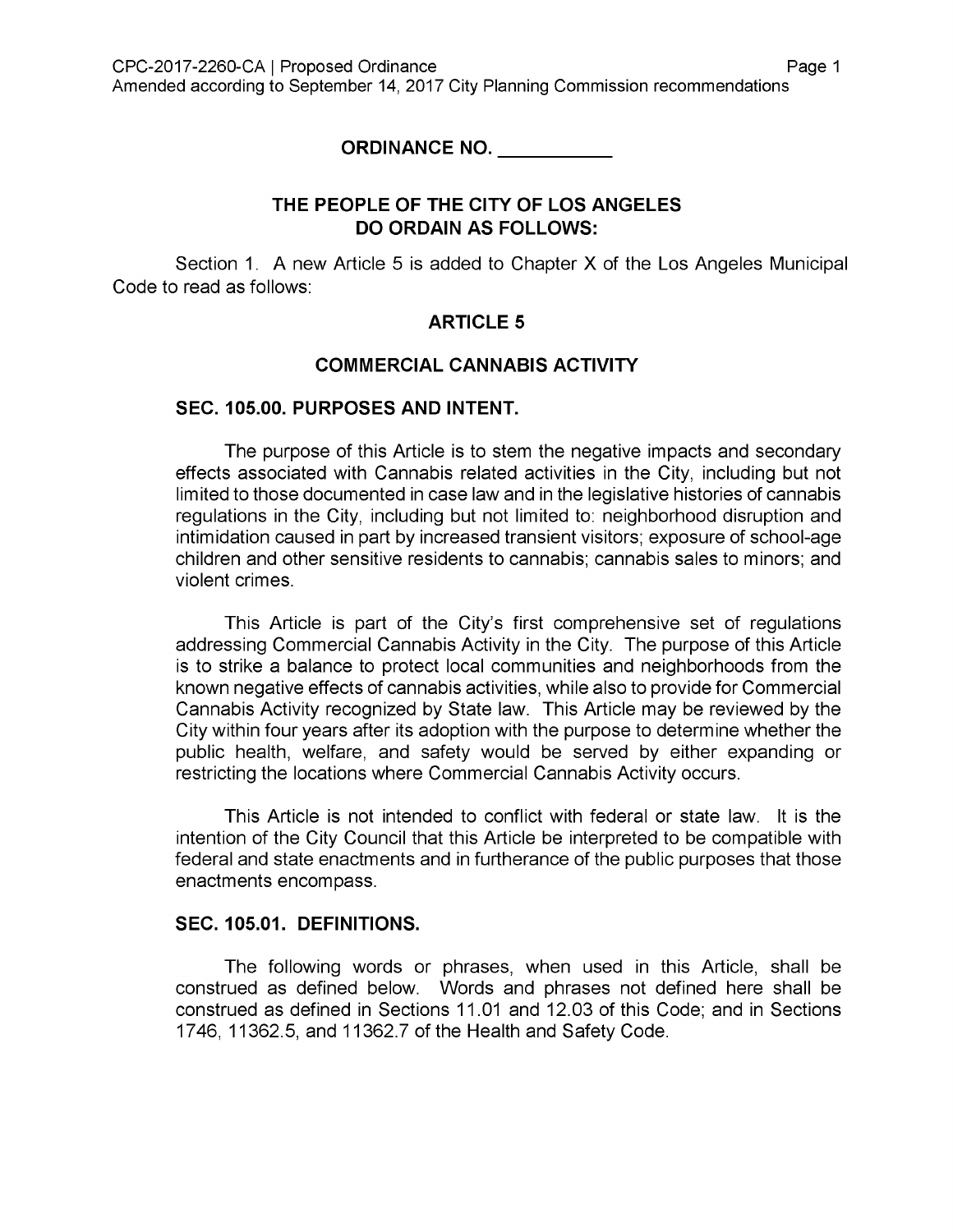**ORDINANCE NO.**

#### **THE PEOPLE OF THE CITY OF LOS ANGELES DO ORDAIN AS FOLLOWS:**

Section 1. A new Article 5 is added to Chapter X of the Los Angeles Municipal Code to read as follows:

#### **ARTICLE 5**

#### **COMMERCIAL CANNABIS ACTIVITY**

#### **SEC. 105.00. PURPOSES AND INTENT.**

The purpose of this Article is to stem the negative impacts and secondary effects associated with Cannabis related activities in the City, including but not limited to those documented in case law and in the legislative histories of cannabis regulations in the City, including but not limited to: neighborhood disruption and intimidation caused in part by increased transient visitors; exposure of school-age children and other sensitive residents to cannabis; cannabis sales to minors; and violent crimes.

This Article is part of the City's first comprehensive set of regulations addressing Commercial Cannabis Activity in the City. The purpose of this Article is to strike a balance to protect local communities and neighborhoods from the known negative effects of cannabis activities, while also to provide for Commercial Cannabis Activity recognized by State law. This Article may be reviewed by the City within four years after its adoption with the purpose to determine whether the public health, welfare, and safety would be served by either expanding or restricting the locations where Commercial Cannabis Activity occurs.

This Article is not intended to conflict with federal or state law. It is the intention of the City Council that this Article be interpreted to be compatible with federal and state enactments and in furtherance of the public purposes that those enactments encompass.

#### **SEC. 105.01. DEFINITIONS.**

The following words or phrases, when used in this Article, shall be construed as defined below. Words and phrases not defined here shall be construed as defined in Sections 11.01 and [12.03](http://library.amlegal.com/nxt/gateway.dll?f=jumplink$jumplink_x=Advanced$jumplink_vpc=first$jumplink_xsl=querylink.xsl$jumplink_sel=title;path;content-type;home-title;item-bookmark$jumplink_d=california(lamc)$jumplink_q=%5bfield%20folio-destination-name:%2712.03.%27%5d$jumplink_md=target-id=JD_12.03.) of this Code; and in Sections 1746, 11362.5, and 11362.7 of the Health and Safety Code.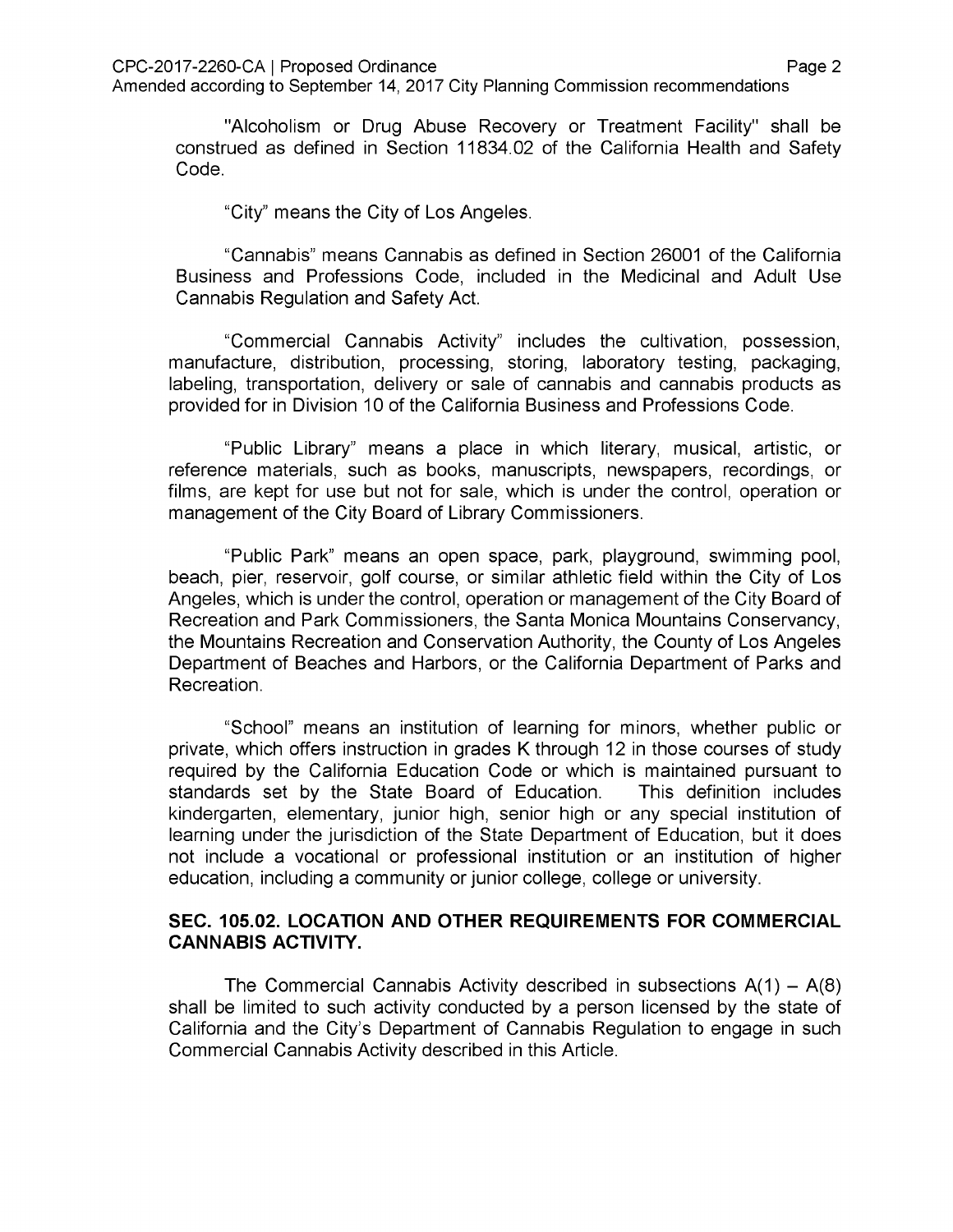"Alcoholism or Drug Abuse Recovery or Treatment Facility" shall be construed as defined in Section 11834.02 of the California Health and Safety Code.

City" means the City of Los Angeles.

"Cannabis" means Cannabis as defined in Section 26001 of the California Business and Professions Code, included in the Medicinal and Adult Use Cannabis Regulation and Safety Act.

"Commercial Cannabis Activity" includes the cultivation, possession, manufacture, distribution, processing, storing, laboratory testing, packaging, labeling, transportation, delivery or sale of cannabis and cannabis products as provided for in Division 10 of the California Business and Professions Code.

"Public Library" means a place in which literary, musical, artistic, or reference materials, such as books, manuscripts, newspapers, recordings, or films, are kept for use but not for sale, which is under the control, operation or management of the City Board of Library Commissioners.

"Public Park" means an open space, park, playground, swimming pool, beach, pier, reservoir, golf course, or similar athletic field within the City of Los Angeles, which is under the control, operation or management of the City Board of Recreation and Park Commissioners, the Santa Monica Mountains Conservancy, the Mountains Recreation and Conservation Authority, the County of Los Angeles Department of Beaches and Harbors, or the California Department of Parks and Recreation.

"School" means an institution of learning for minors, whether public or private, which offers instruction in grades K through 12 in those courses of study required by the California Education Code or which is maintained pursuant to standards set by the State Board of Education, kindergarten, elementary, junior high, senior high or any special institution of learning under the jurisdiction of the State Department of Education, but it does not include a vocational or professional institution or an institution of higher education, including a community or junior college, college or university. This definition includes

#### **SEC. 105.02. LOCATION AND OTHER REQUIREMENTS FOR COMMERCIAL CANNABIS ACTIVITY.**

The Commercial Cannabis Activity described in subsections  $A(1) - A(8)$ shall be limited to such activity conducted by a person licensed by the state of California and the City's Department of Cannabis Regulation to engage in such Commercial Cannabis Activity described in this Article.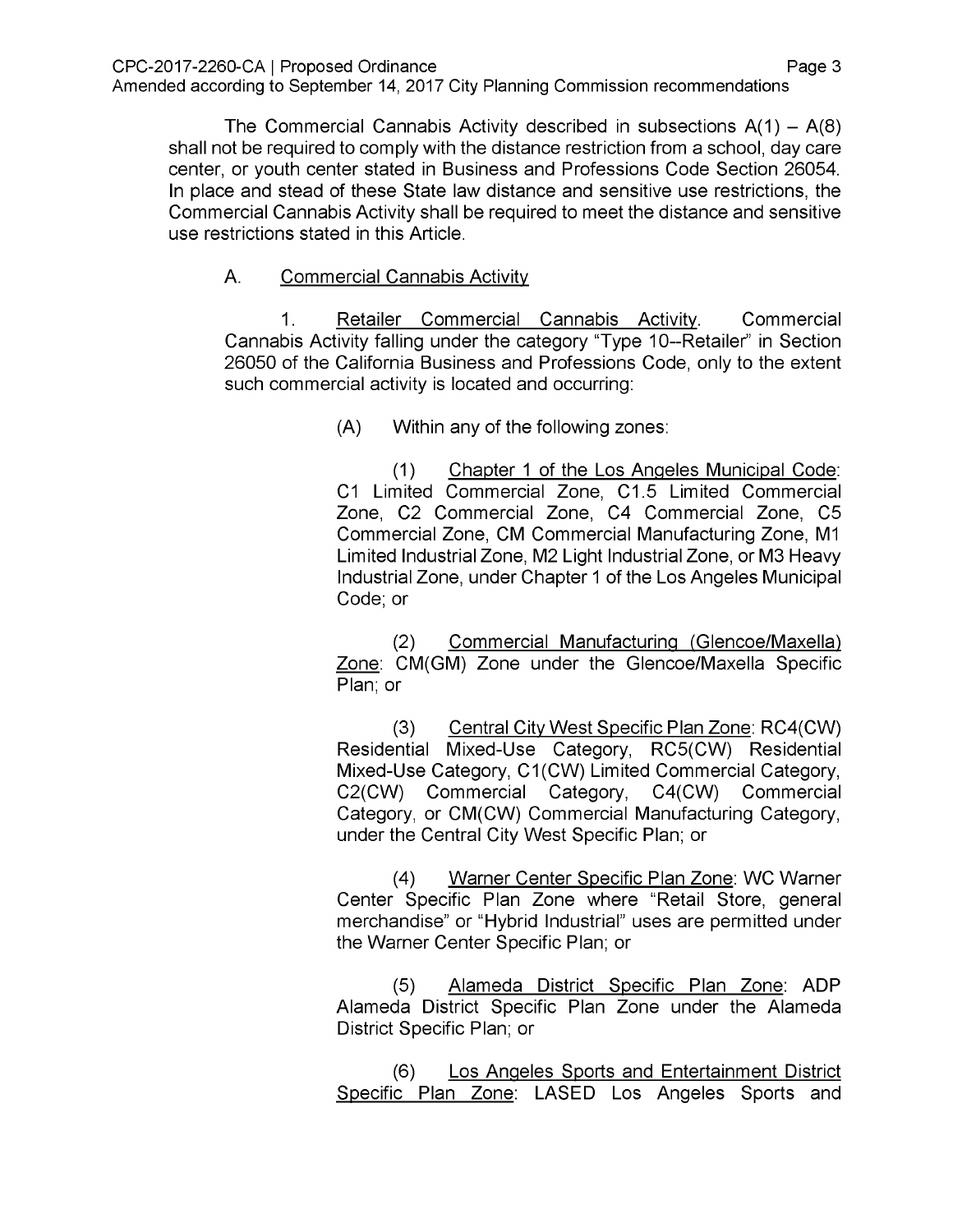The Commercial Cannabis Activity described in subsections  $A(1) - A(8)$ shall not be required to comply with the distance restriction from a school, day care center, or youth center stated in Business and Professions Code Section 26054. In place and stead of these State law distance and sensitive use restrictions, the Commercial Cannabis Activity shall be required to meet the distance and sensitive use restrictions stated in this Article.

# A. Commercial Cannabis Activity

**Commercial** Cannabis Activity falling under the category "Type 10--Retailer" in Section 26050 of the California Business and Professions Code, only to the extent such commercial activity is located and occurring: 1. Retailer Commercial Cannabis Activity.

(A) Within any of the following zones:

Chapter <sup>1</sup> of the Los Angeles Municipal Code: C1 Limited Commercial Zone, C1.5 Limited Commercial Zone, C2 Commercial Zone, C4 Commercial Zone, C5 Commercial Zone, CM Commercial Manufacturing Zone, M1 Limited Industrial Zone, M2 Light Industrial Zone, or M3 Heavy Industrial Zone, under Chapter <sup>1</sup> of the Los Angeles Municipal Code; or (1)

Commercial Manufacturing (Glencoe/Maxella) Zone: CM(GM) Zone under the Glencoe/Maxella Specific Plan; or (2)

Central City West Specific Plan Zone: RC4(CW) Residential Mixed-Use Category, RC5(CW) Residential Mixed-Use Category, C1(CW) Limited Commercial Category, C2(CW) Commercial Category, C4(CW) Commercial Category, or CM(CW) Commercial Manufacturing Category, under the Central City West Specific Plan; or (3)

Warner Center Specific Plan Zone: WC Warner Center Specific Plan Zone where "Retail Store, general merchandise" or "Hybrid Industrial" uses are permitted under the Warner Center Specific Plan; or (4)

Alameda District Specific Plan Zone: ADP Alameda District Specific Plan Zone under the Alameda District Specific Plan; or (5)

Los Angeles Sports and Entertainment District Specific Plan Zone: LASED Los Angeles Sports and (6)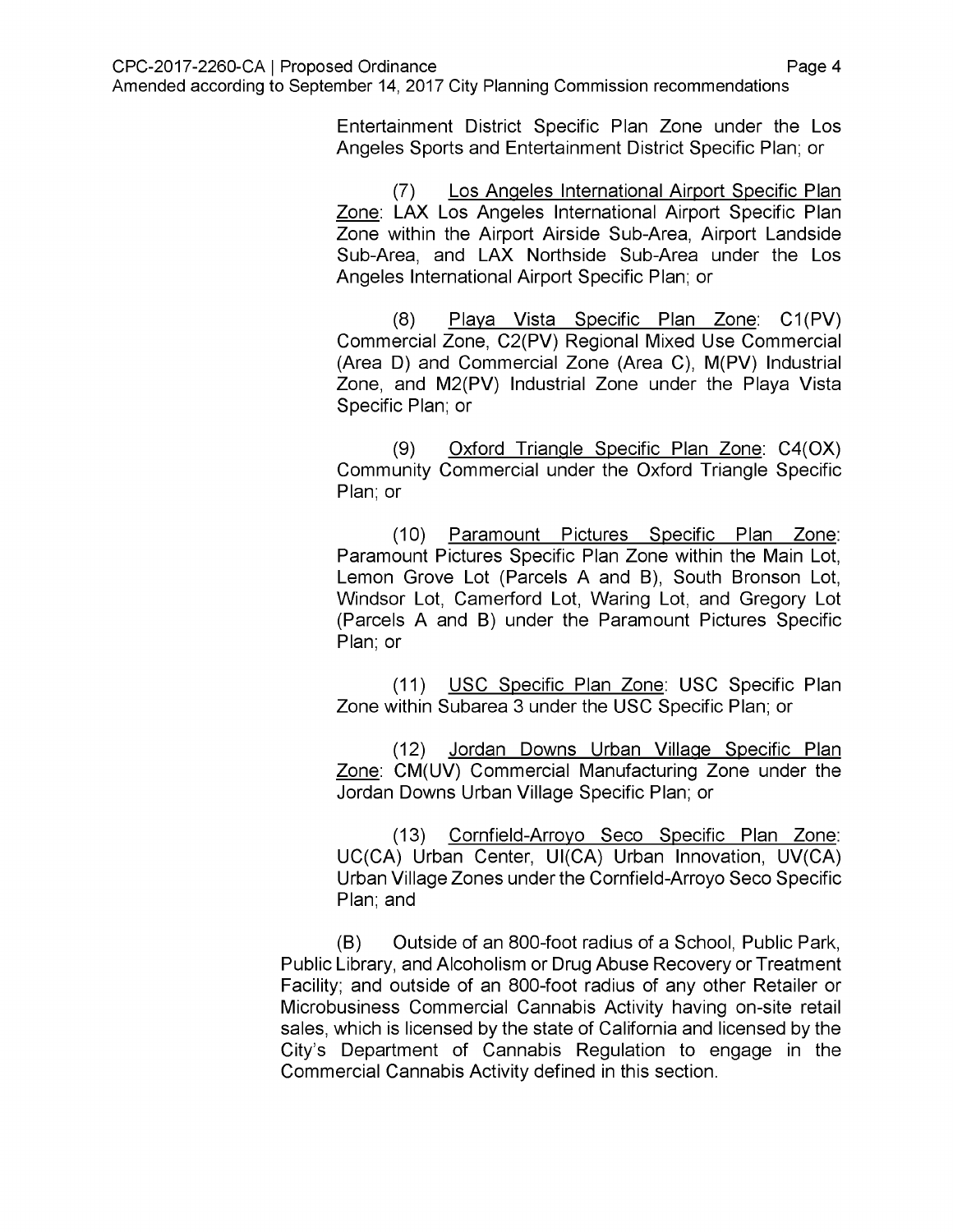Entertainment District Specific Plan Zone under the Los Angeles Sports and Entertainment District Specific Plan; or

Los Angeles International Airport Specific Plan Zone: LAX Los Angeles International Airport Specific Plan Zone within the Airport Airside Sub-Area, Airport Landside Sub-Area, and LAX Northside Sub-Area under the Los Angeles International Airport Specific Plan; or (7)

Playa Vista Specific Plan Zone: C1(PV) Commercial Zone, C2(PV) Regional Mixed Use Commercial (Area D) and Commercial Zone (Area C), M(PV) Industrial Zone, and M2(PV) Industrial Zone under the Playa Vista Specific Plan; or (8)

Oxford Triangle Specific Plan Zone: C4(OX) Community Commercial under the Oxford Triangle Specific Plan; or (9)

(10) Paramount Pictures Specific Plan Zone: Paramount Pictures Specific Plan Zone within the Main Lot, Lemon Grove Lot (Parcels A and B), South Bronson Lot, Windsor Lot, Camerford Lot, Waring Lot, and Gregory Lot (Parcels A and B) under the Paramount Pictures Specific Plan; or

(11) USC Specific Plan Zone: USC Specific Plan Zone within Subarea 3 under the USC Specific Plan; or

(12) Jordan Downs Urban Village Specific Plan Zone: CM(UV) Commercial Manufacturing Zone under the Jordan Downs Urban Village Specific Plan; or

(13) Cornfield-Arrovo Seco Specific Plan Zone: UC(CA) Urban Center, UI(CA) Urban Innovation, UV(CA) Urban Village Zones under the Cornfield-Arroyo Seco Specific Plan; and

(B) Outside of an 800-foot radius of a School, Public Park, Public Library, and Alcoholism or Drug Abuse Recovery or Treatment Facility; and outside of an 800-foot radius of any other Retailer or Microbusiness Commercial Cannabis Activity having on-site retail sales, which is licensed by the state of California and licensed by the City's Department of Cannabis Regulation to engage in the Commercial Cannabis Activity defined in this section.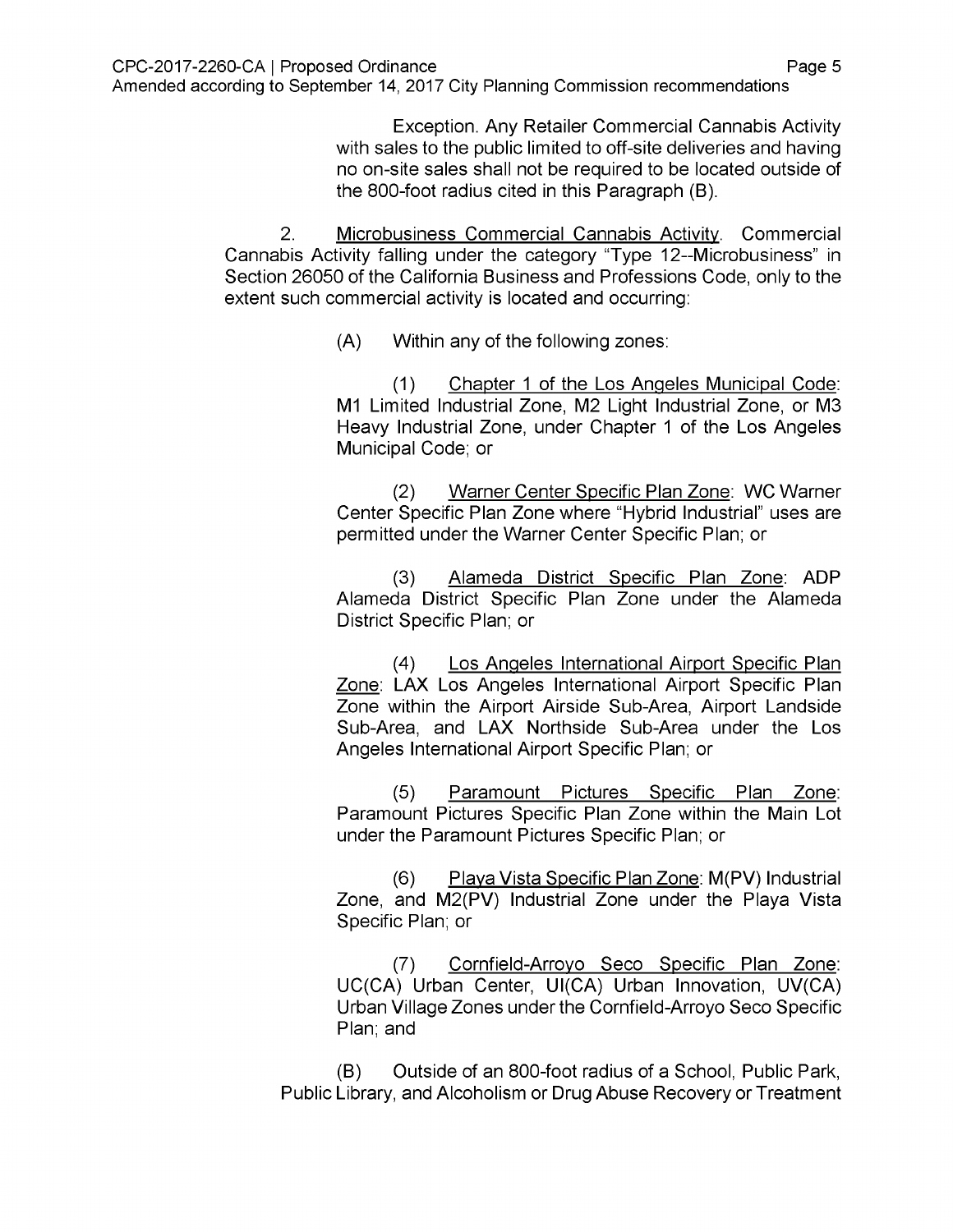Exception. Any Retailer Commercial Cannabis Activity with sales to the public limited to off-site deliveries and having no on-site sales shall not be required to be located outside of the 800-foot radius cited in this Paragraph (B).

Microbusiness Commercial Cannabis Activity. Commercial Cannabis Activity falling under the category "Type 12--Microbusiness" in Section 26050 of the California Business and Professions Code, only to the extent such commercial activity is located and occurring: 2.

(A) Within any of the following zones:

Chapter <sup>1</sup> of the Los Angeles Municipal Code: M1 Limited Industrial Zone, M2 Light Industrial Zone, or M3 Heavy Industrial Zone, under Chapter <sup>1</sup> of the Los Angeles Municipal Code; or (1)

Warner Center Specific Plan Zone: WC Warner Center Specific Plan Zone where "Hybrid Industrial" uses are permitted under the Warner Center Specific Plan; or (2)

Alameda District Specific Plan Zone: ADP Alameda District Specific Plan Zone under the Alameda District Specific Plan; or (3)

Los Angeles International Airport Specific Plan Zone: LAX Los Angeles International Airport Specific Plan Zone within the Airport Airside Sub-Area, Airport Landside Sub-Area, and LAX Northside Sub-Area under the Los Angeles International Airport Specific Plan; or (4)

Paramount Pictures Specific Plan Zone: Paramount Pictures Specific Plan Zone within the Main Lot under the Paramount Pictures Specific Plan; or (5)

Playa Vista Specific Plan Zone: M(PV) Industrial Zone, and M2(PV) Industrial Zone under the Playa Vista Specific Plan; or (6)

Cornfield-Arrovo Seco Specific Plan Zone: UC(CA) Urban Center, UI(CA) Urban Innovation, UV(CA) Urban Village Zones under the Cornfield-Arroyo Seco Specific Plan; and (7)

(B) Outside of an 800-foot radius of a School, Public Park, Public Library, and Alcoholism or Drug Abuse Recovery or Treatment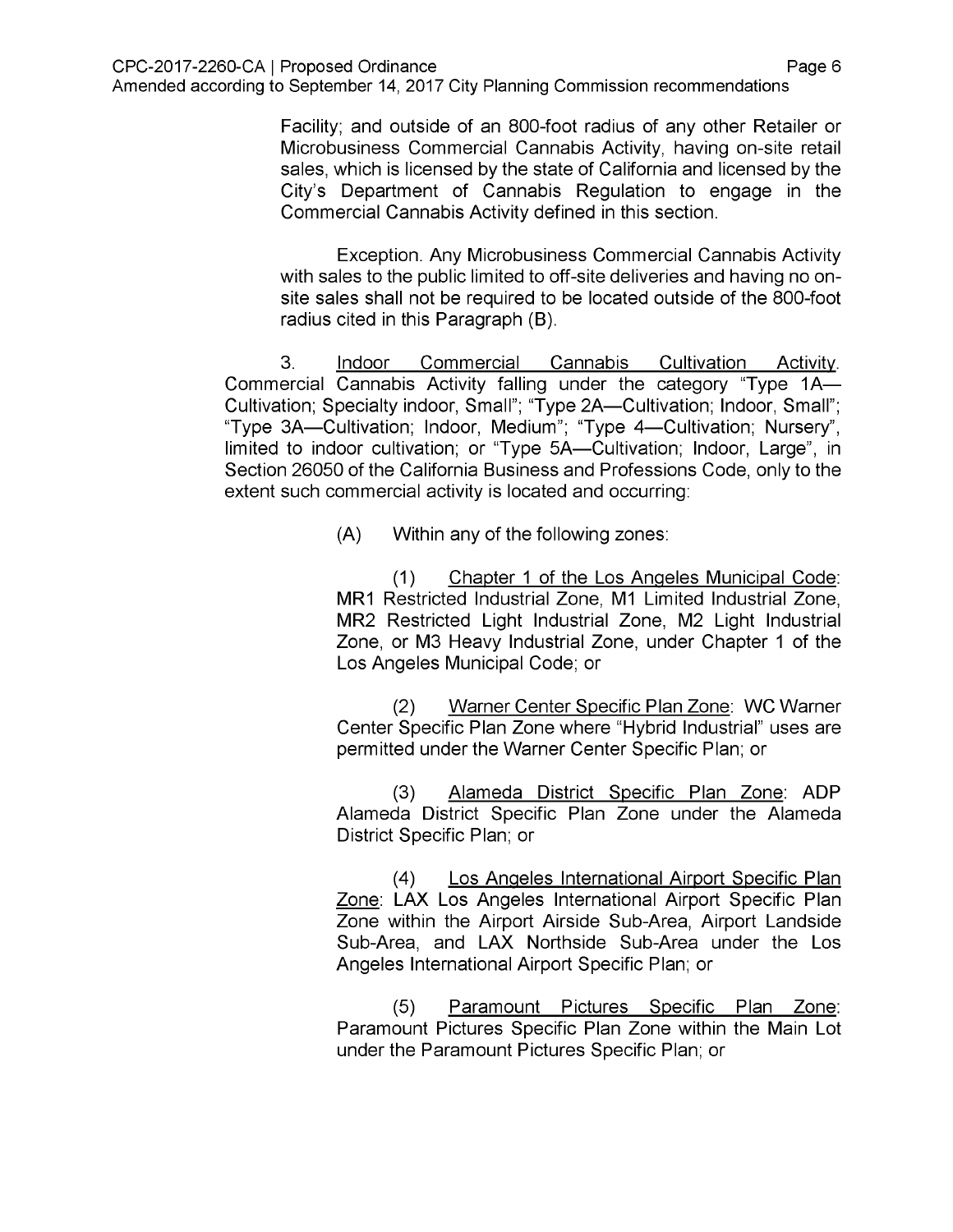Facility; and outside of an 800-foot radius of any other Retailer or Microbusiness Commercial Cannabis Activity, having on-site retail sales, which is licensed by the state of California and licensed by the City's Department of Cannabis Regulation to engage in the Commercial Cannabis Activity defined in this section.

Exception. Any Microbusiness Commercial Cannabis Activity with sales to the public limited to off-site deliveries and having no onsite sales shall not be required to be located outside of the 800-foot radius cited in this Paragraph (B).

Indoor Commercial Cannabis Cultivation Activity. Commercial Cannabis Activity falling under the category "Type 1A— Cultivation; Specialty indoor, Small"; "Type 2A—Cultivation; Indoor, Small"; "Type 3A—Cultivation; Indoor, Medium"; "Type 4—Cultivation; Nursery", limited to indoor cultivation; or "Type 5A—Cultivation; Indoor, Large", in Section 26050 of the California Business and Professions Code, only to the extent such commercial activity is located and occurring: 3.

(A) Within any of the following zones:

Chapter <sup>1</sup> of the Los Angeles Municipal Code: MR1 Restricted Industrial Zone, M1 Limited Industrial Zone, MR2 Restricted Light Industrial Zone, M2 Light Industrial Zone, or M3 Heavy Industrial Zone, under Chapter <sup>1</sup> of the Los Angeles Municipal Code; or (1)

Warner Center Specific Plan Zone: WC Warner Center Specific Plan Zone where "Hybrid Industrial" uses are permitted under the Warner Center Specific Plan; or (2)

Alameda District Specific Plan Zone: ADP Alameda District Specific Plan Zone under the Alameda District Specific Plan; or (3)

Los Angeles International Airport Specific Plan Zone: LAX Los Angeles International Airport Specific Plan Zone within the Airport Airside Sub-Area, Airport Landside Sub-Area, and LAX Northside Sub-Area under the Los Angeles International Airport Specific Plan; or (4)

Paramount Pictures Specific Plan Zone: Paramount Pictures Specific Plan Zone within the Main Lot under the Paramount Pictures Specific Plan; or (5)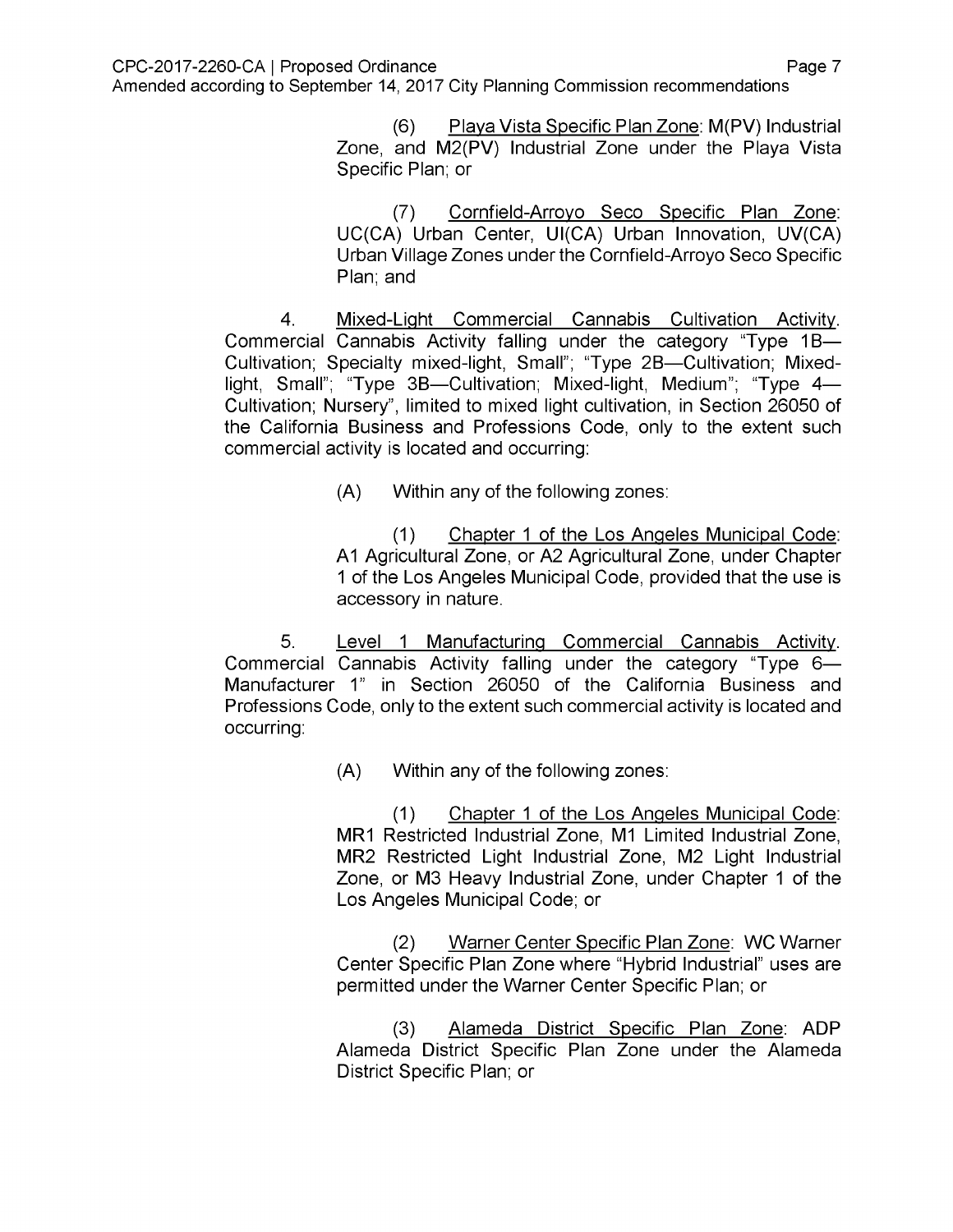Playa Vista Specific Plan Zone: M(PV) Industrial Zone, and M2(PV) Industrial Zone under the Playa Vista Specific Plan; or (6)

Cornfield-Arrovo Seco Specific Plan Zone: UC(CA) Urban Center, UI(CA) Urban Innovation, UV(CA) Urban Village Zones under the Cornfield-Arroyo Seco Specific Plan; and (7)

Mixed-Light Commercial Cannabis Cultivation Activity. Commercial Cannabis Activity falling under the category "Type 1B— Cultivation; Specialty mixed-light, Small"; "Type 2B—Cultivation; Mixedlight, Small"; "Type 3B—Cultivation; Mixed-light, Medium"; "Type 4— Cultivation; Nursery", limited to mixed light cultivation, in Section 26050 of the California Business and Professions Code, only to the extent such commercial activity is located and occurring: 4.

(A) Within any of the following zones:

Chapter <sup>1</sup> of the Los Angeles Municipal Code: A1 Agricultural Zone, or A2 Agricultural Zone, under Chapter <sup>1</sup> of the Los Angeles Municipal Code, provided that the use is accessory in nature. (1)

Level 1 Manufacturing Commercial Cannabis Activity. Commercial Cannabis Activity falling under the category "Type 6— Manufacturer 1" in Section 26050 of the California Business and Professions Code, only to the extent such commercial activity is located and occurring: 5.

(A) Within any of the following zones:

Chapter <sup>1</sup> of the Los Angeles Municipal Code: MR1 Restricted Industrial Zone, M1 Limited Industrial Zone, MR2 Restricted Light Industrial Zone, M2 Light Industrial Zone, or M3 Heavy Industrial Zone, under Chapter <sup>1</sup> of the Los Angeles Municipal Code; or (1)

Warner Center Specific Plan Zone: WC Warner Center Specific Plan Zone where "Hybrid Industrial" uses are permitted under the Warner Center Specific Plan; or (2)

Alameda District Specific Plan Zone: ADP Alameda District Specific Plan Zone under the Alameda District Specific Plan; or (3)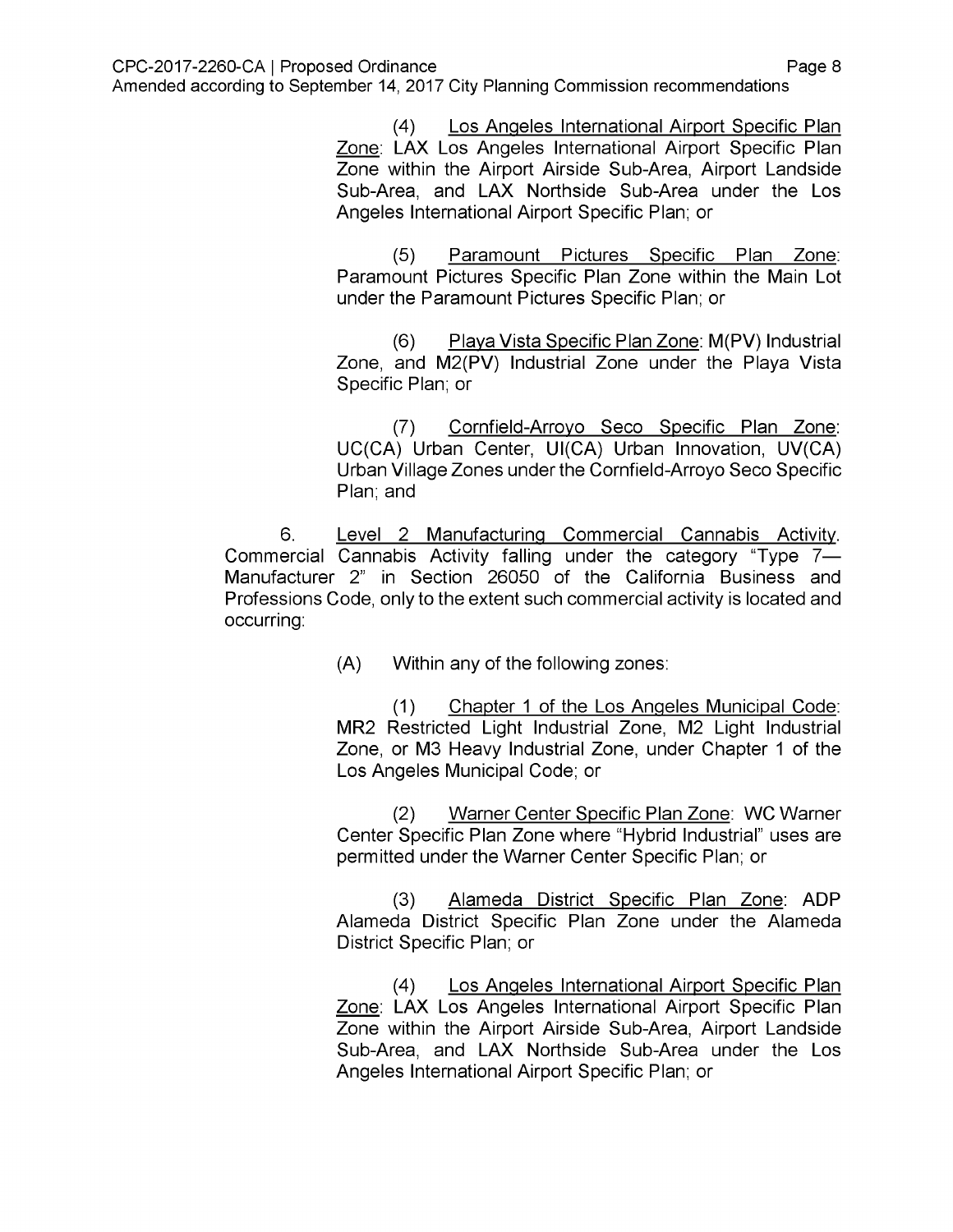Los Angeles International Airport Specific Plan Zone: LAX Los Angeles International Airport Specific Plan Zone within the Airport Airside Sub-Area, Airport Landside Sub-Area, and LAX Northside Sub-Area under the Los Angeles International Airport Specific Plan; or  $(4)$ 

Paramount Pictures Specific Plan Zone: Paramount Pictures Specific Plan Zone within the Main Lot under the Paramount Pictures Specific Plan; or (5)

Playa Vista Specific Plan Zone: M(PV) Industrial Zone, and M2(PV) Industrial Zone under the Playa Vista Specific Plan; or (6)

Cornfield-Arrovo Seco Specific Plan Zone: UC(CA) Urban Center, UI(CA) Urban Innovation, UV(CA) Urban Village Zones under the Cornfield-Arroyo Seco Specific Plan; and (7)

Level 2 Manufacturing Commercial Cannabis Activity. Commercial Cannabis Activity falling under the category "Type 7— Manufacturer 2" in Section 26050 of the California Business and Professions Code, only to the extent such commercial activity is located and occurring: 6.

(A) Within any of the following zones:

Chapter <sup>1</sup> of the Los Angeles Municipal Code: MR2 Restricted Light Industrial Zone, M2 Light Industrial Zone, or M3 Heavy Industrial Zone, under Chapter <sup>1</sup> of the Los Angeles Municipal Code; or (1)

Warner Center Specific Plan Zone: WC Warner Center Specific Plan Zone where "Hybrid Industrial" uses are permitted under the Warner Center Specific Plan; or (2)

Alameda District Specific Plan Zone: ADP Alameda District Specific Plan Zone under the Alameda District Specific Plan; or (3)

Los Angeles International Airport Specific Plan Zone: LAX Los Angeles International Airport Specific Plan Zone within the Airport Airside Sub-Area, Airport Landside Sub-Area, and LAX Northside Sub-Area under the Los Angeles International Airport Specific Plan; or  $(4)$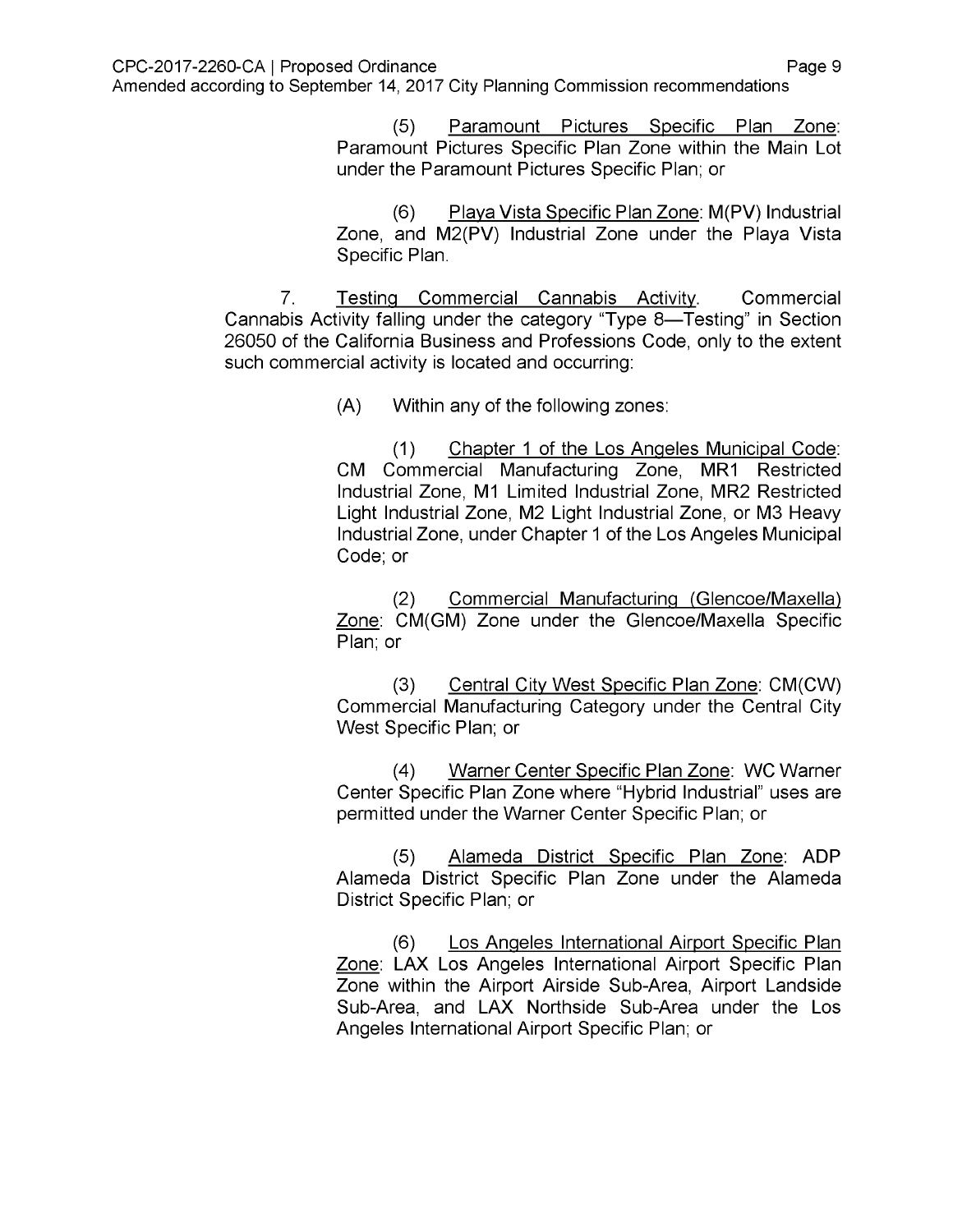Paramount Pictures Specific Plan Zone: Paramount Pictures Specific Plan Zone within the Main Lot under the Paramount Pictures Specific Plan; or (5)

Playa Vista Specific Plan Zone: M(PV) Industrial Zone, and M2(PV) Industrial Zone under the Playa Vista Specific Plan. (6)

**Commercial** Cannabis Activity falling under the category "Type 8—Testing" in Section 26050 of the California Business and Professions Code, only to the extent such commercial activity is located and occurring: 7. Testing Commercial Cannabis Activity.

(A) Within any of the following zones:

Chapter <sup>1</sup> of the Los Angeles Municipal Code: CM Commercial Manufacturing Zone, MR1 Restricted Industrial Zone, M1 Limited Industrial Zone, MR2 Restricted Light Industrial Zone, M2 Light Industrial Zone, or M3 Heavy Industrial Zone, under Chapter <sup>1</sup> of the Los Angeles Municipal Code; or (1)

Commercial Manufacturing (Glencoe/Maxella) Zone: CM(GM) Zone under the Glencoe/Maxella Specific Plan; or (2)

Central City West Specific Plan Zone: CM(CW) Commercial Manufacturing Category under the Central City West Specific Plan; or (3)

Warner Center Specific Plan Zone: WC Warner Center Specific Plan Zone where "Hybrid Industrial" uses are permitted under the Warner Center Specific Plan; or (4)

Alameda District Specific Plan Zone: ADP Alameda District Specific Plan Zone under the Alameda District Specific Plan; or (5)

Los Angeles International Airport Specific Plan Zone: LAX Los Angeles International Airport Specific Plan Zone within the Airport Airside Sub-Area, Airport Landside Sub-Area, and LAX Northside Sub-Area under the Los Angeles International Airport Specific Plan; or (6)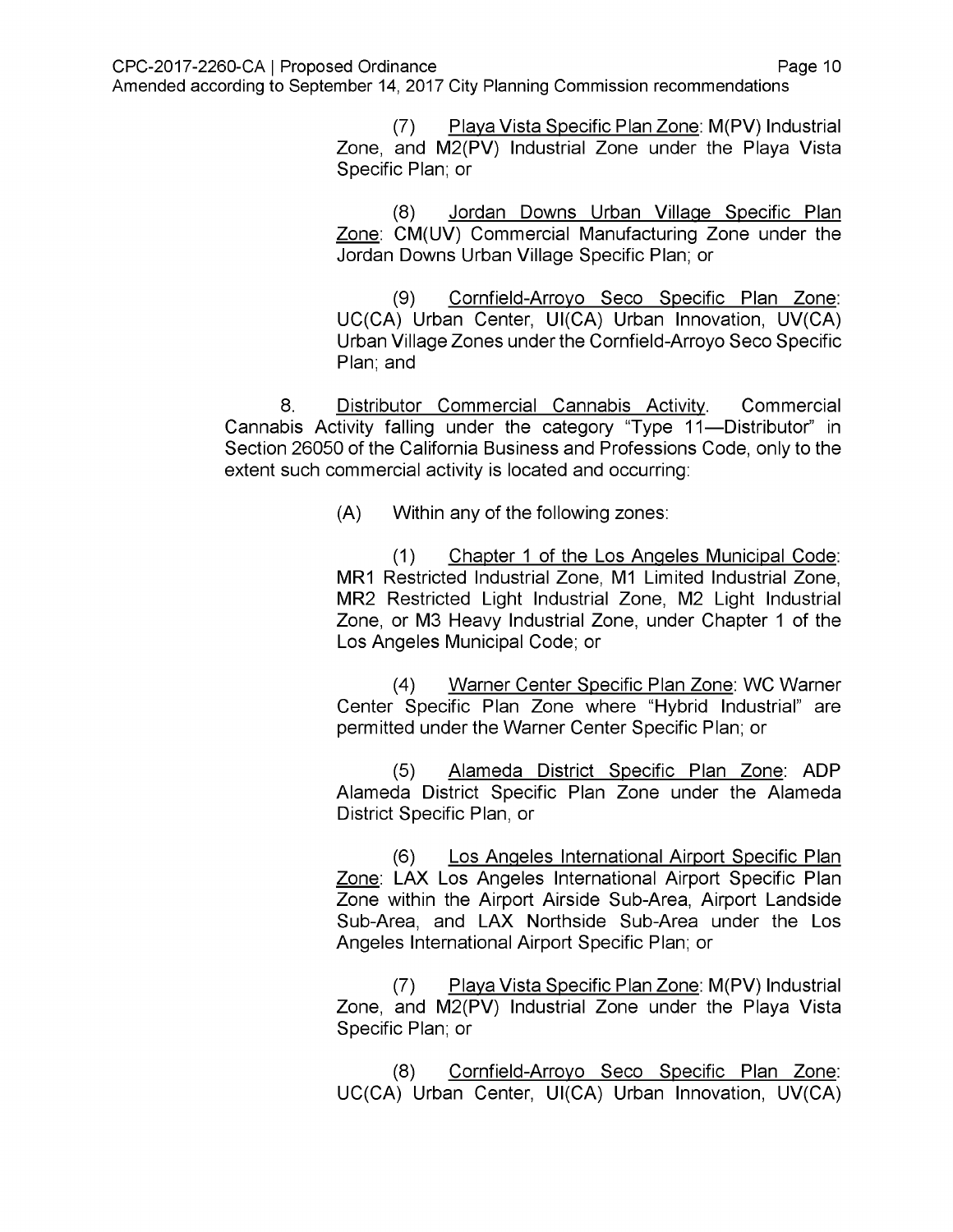Playa Vista Specific Plan Zone: M(PV) Industrial Zone, and M2(PV) Industrial Zone under the Playa Vista Specific Plan; or (7)

Jordan Downs Urban Village Specific Plan Zone: CM(UV) Commercial Manufacturing Zone under the Jordan Downs Urban Village Specific Plan; or (8)

Cornfield-Arrovo Seco Specific Plan Zone: UC(CA) Urban Center, UI(CA) Urban Innovation, UV(CA) Urban Village Zones under the Cornfield-Arroyo Seco Specific Plan; and (9)

**Commercial** Cannabis Activity falling under the category "Type 11—Distributor" in Section 26050 of the California Business and Professions Code, only to the extent such commercial activity is located and occurring: 8. Distributor Commercial Cannabis Activity.

(A) Within any of the following zones:

Chapter <sup>1</sup> of the Los Angeles Municipal Code: MR1 Restricted Industrial Zone, M1 Limited Industrial Zone, MR2 Restricted Light Industrial Zone, M2 Light Industrial Zone, or M3 Heavy Industrial Zone, under Chapter <sup>1</sup> of the Los Angeles Municipal Code; or (1)

Warner Center Specific Plan Zone: WC Warner Center Specific Plan Zone where "Hybrid Industrial" are permitted under the Warner Center Specific Plan; or (4)

Alameda District Specific Plan Zone: ADP Alameda District Specific Plan Zone under the Alameda District Specific Plan, or (5)

Los Angeles International Airport Specific Plan Zone: LAX Los Angeles International Airport Specific Plan Zone within the Airport Airside Sub-Area, Airport Landside Sub-Area, and LAX Northside Sub-Area under the Los Angeles International Airport Specific Plan; or (6)

Playa Vista Specific Plan Zone: M(PV) Industrial Zone, and M2(PV) Industrial Zone under the Playa Vista Specific Plan; or (7)

Cornfield-Arrovo Seco Specific Plan Zone: UC(CA) Urban Center, UI(CA) Urban Innovation, UV(CA) (8)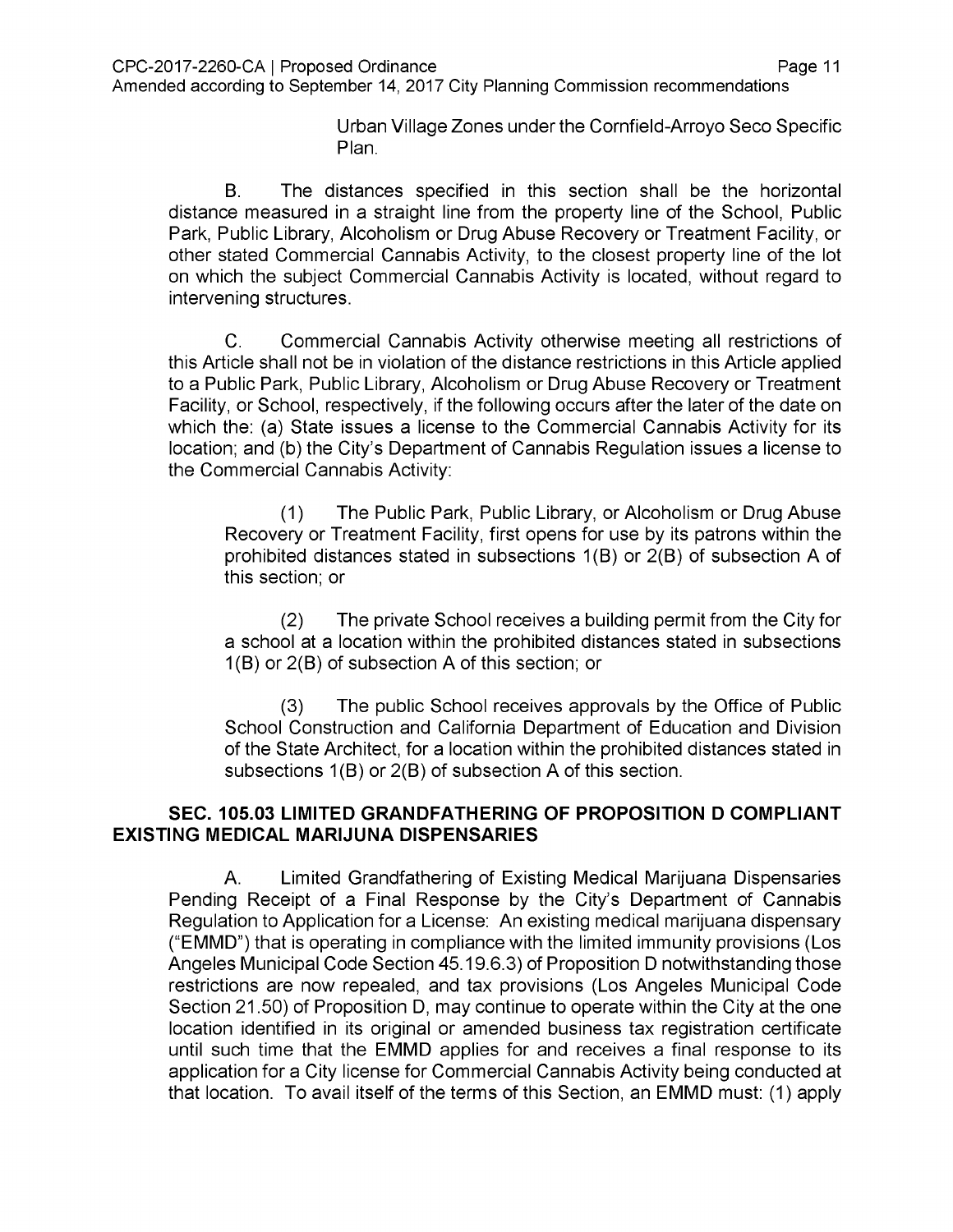Urban Village Zones under the Cornfield-Arroyo Seco Specific Plan.

The distances specified in this section shall be the horizontal distance measured in a straight line from the property line of the School, Public Park, Public Library, Alcoholism or Drug Abuse Recovery or Treatment Facility, or other stated Commercial Cannabis Activity, to the closest property line of the lot on which the subject Commercial Cannabis Activity is located, without regard to intervening structures. B.

Commercial Cannabis Activity otherwise meeting all restrictions of this Article shall not be in violation of the distance restrictions in this Article applied to a Public Park, Public Library, Alcoholism or Drug Abuse Recovery or Treatment Facility, or School, respectively, if the following occurs after the later of the date on which the: (a) State issues a license to the Commercial Cannabis Activity for its location; and (b) the City's Department of Cannabis Regulation issues a license to the Commercial Cannabis Activity: C.

The Public Park, Public Library, or Alcoholism or Drug Abuse Recovery or Treatment Facility, first opens for use by its patrons within the prohibited distances stated in subsections 1(B) or 2(B) of subsection A of this section; or (1)

The private School receives a building permit from the City for a school at a location within the prohibited distances stated in subsections  $1(B)$  or  $2(B)$  of subsection A of this section; or (2)

The public School receives approvals by the Office of Public School Construction and California Department of Education and Division of the State Architect, for a location within the prohibited distances stated in subsections  $1(B)$  or  $2(B)$  of subsection A of this section. (3)

## **SEC. 105.03 LIMITED GRANDFATHERING OF PROPOSITION D COMPLIANT EXISTING MEDICAL MARIJUNA DISPENSARIES**

Limited Grandfathering of Existing Medical Marijuana Dispensaries Pending Receipt of a Final Response by the City's Department of Cannabis Regulation to Application for a License: An existing medical marijuana dispensary ("EMMD") that is operating in compliance with the limited immunity provisions (Los Angeles Municipal Code Section 45.19.6.3) of Proposition D notwithstanding those restrictions are now repealed, and tax provisions (Los Angeles Municipal Code Section 21.50) of Proposition D, may continue to operate within the City at the one location identified in its original or amended business tax registration certificate until such time that the EMMD applies for and receives a final response to its application for a City license for Commercial Cannabis Activity being conducted at that location. To avail itself of the terms of this Section, an EMMD must: (1) apply A.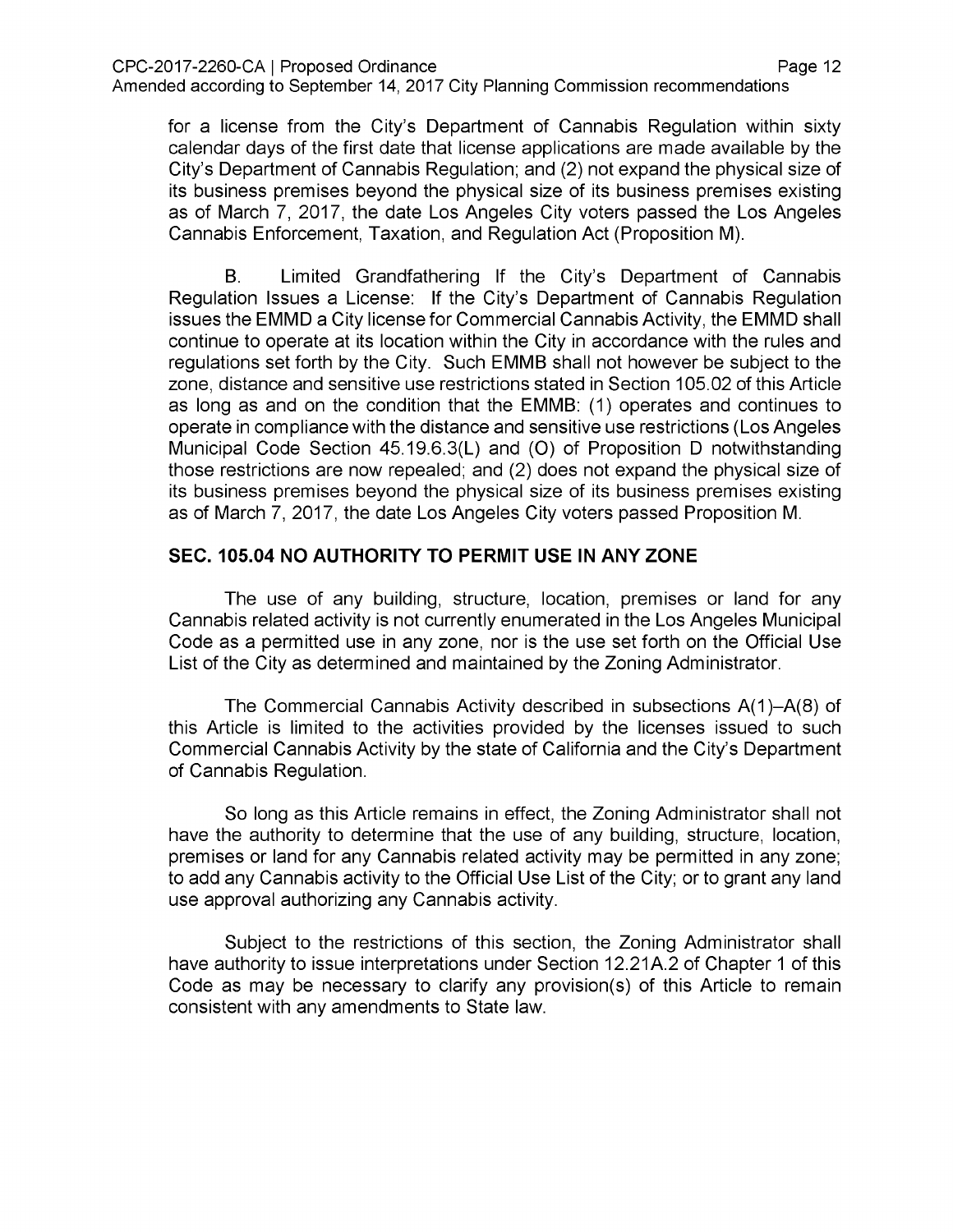for a license from the City's Department of Cannabis Regulation within sixty calendar days of the first date that license applications are made available by the City's Department of Cannabis Regulation; and (2) not expand the physical size of its business premises beyond the physical size of its business premises existing as of March 7, 2017, the date Los Angeles City voters passed the Los Angeles Cannabis Enforcement, Taxation, and Regulation Act (Proposition M).

Limited Grandfathering If the City's Department of Cannabis Regulation Issues a License: If the City's Department of Cannabis Regulation issues the EMMD a City license for Commercial Cannabis Activity, the EMMD shall continue to operate at its location within the City in accordance with the rules and regulations set forth by the City. Such EMMB shall not however be subject to the zone, distance and sensitive use restrictions stated in Section 105.02 of this Article as long as and on the condition that the EMMB: (1) operates and continues to operate in compliance with the distance and sensitive use restrictions (Los Angeles Municipal Code Section 45.19.6.3(L) and (0) of Proposition D notwithstanding those restrictions are now repealed; and (2) does not expand the physical size of its business premises beyond the physical size of its business premises existing as of March 7, 2017, the date Los Angeles City voters passed Proposition M. B.

## **SEC. 105.04 NO AUTHORITY TO PERMIT USE IN ANY ZONE**

The use of any building, structure, location, premises or land for any Cannabis related activity is not currently enumerated in the Los Angeles Municipal Code as a permitted use in any zone, nor is the use set forth on the Official Use List of the City as determined and maintained by the Zoning Administrator.

The Commercial Cannabis Activity described in subsections A(1)-A(8) of this Article is limited to the activities provided by the licenses issued to such Commercial Cannabis Activity by the state of California and the City's Department of Cannabis Regulation.

So long as this Article remains in effect, the Zoning Administrator shall not have the authority to determine that the use of any building, structure, location, premises or land for any Cannabis related activity may be permitted in any zone; to add any Cannabis activity to the Official Use List of the City; or to grant any land use approval authorizing any Cannabis activity.

Subject to the restrictions of this section, the Zoning Administrator shall have authority to issue interpretations under Section 12.21A.2 of Chapter 1 of this Code as may be necessary to clarify any provision(s) of this Article to remain consistent with any amendments to State law.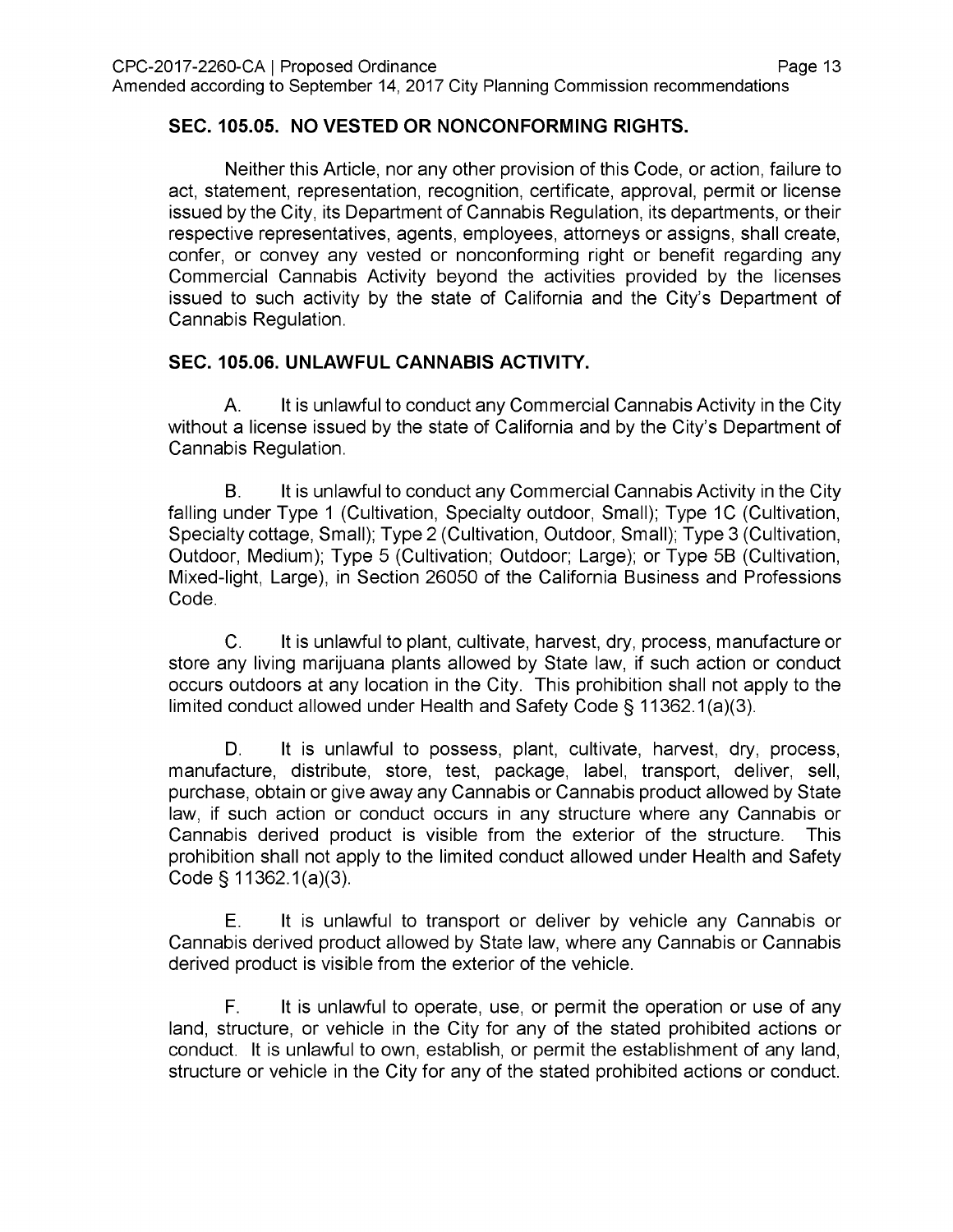## **SEC. 105.05. NO VESTED OR NONCONFORMING RIGHTS.**

Neither this Article, nor any other provision of this Code, or action, failure to act, statement, representation, recognition, certificate, approval, permit or license issued by the City, its Department of Cannabis Regulation, its departments, or their respective representatives, agents, employees, attorneys or assigns, shall create, confer, or convey any vested or nonconforming right or benefit regarding any Commercial Cannabis Activity beyond the activities provided by the licenses issued to such activity by the state of California and the City's Department of Cannabis Regulation.

## **SEC. 105.06. UNLAWFUL CANNABIS ACTIVITY.**

It is unlawful to conduct any Commercial Cannabis Activity in the City without a license issued by the state of California and by the City's Department of Cannabis Regulation. A.

It is unlawful to conduct any Commercial Cannabis Activity in the City falling under Type <sup>1</sup> (Cultivation, Specialty outdoor, Small); Type 1C (Cultivation, Specialty cottage, Small); Type 2 (Cultivation, Outdoor, Small); Type 3 (Cultivation, Outdoor, Medium); Type 5 (Cultivation; Outdoor; Large); or Type 5B (Cultivation, Mixed-light, Large), in Section 26050 of the California Business and Professions Code. B.

C. It is unlawful to plant, cultivate, harvest, dry, process, manufacture or store any living marijuana plants allowed by State law, if such action or conduct occurs outdoors at any location in the City. This prohibition shall not apply to the limited conduct allowed under Health and Safety Code § 11362.1(a)(3).

It is unlawful to possess, plant, cultivate, harvest, dry, process, manufacture, distribute, store, test, package, label, transport, deliver, sell, purchase, obtain or give away any Cannabis or Cannabis product allowed by State law, if such action or conduct occurs in any structure where any Cannabis or Cannabis derived product is visible from the exterior of the structure. This prohibition shall not apply to the limited conduct allowed under Health and Safety Code § 11362.1(a)(3). D.

It is unlawful to transport or deliver by vehicle any Cannabis or Cannabis derived product allowed by State law, where any Cannabis or Cannabis derived product is visible from the exterior of the vehicle. E.

It is unlawful to operate, use, or permit the operation or use of any land, structure, or vehicle in the City for any of the stated prohibited actions or conduct. It is unlawful to own, establish, or permit the establishment of any land, structure or vehicle in the City for any of the stated prohibited actions or conduct. F.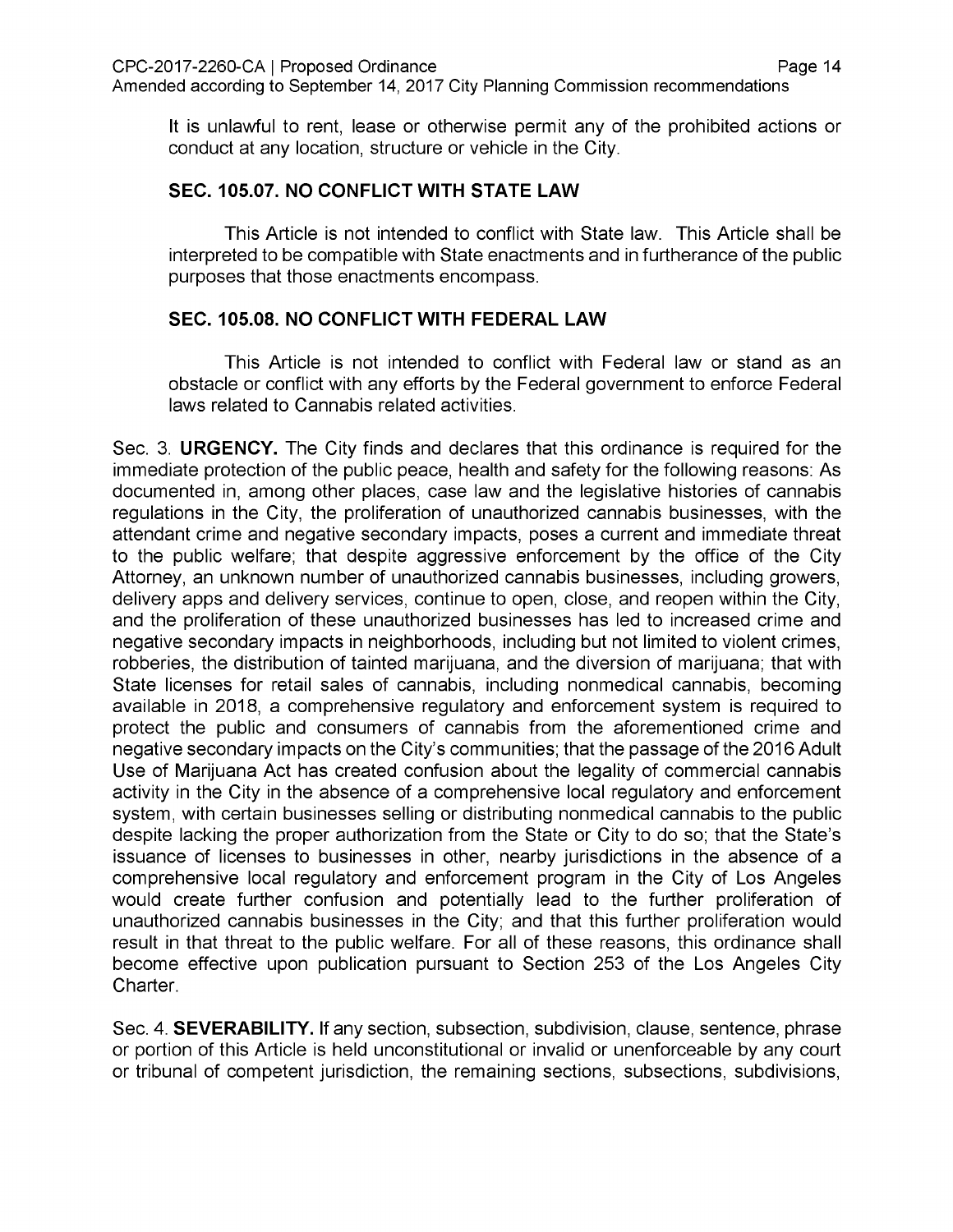It is unlawful to rent, lease or otherwise permit any of the prohibited actions or conduct at any location, structure or vehicle in the City.

## **SEC. 105.07. NO CONFLICT WITH STATE LAW**

This Article is not intended to conflict with State law. This Article shall be interpreted to be compatible with State enactments and in furtherance of the public purposes that those enactments encompass.

## **SEC. 105.08. NO CONFLICT WITH FEDERAL LAW**

This Article is not intended to conflict with Federal law or stand as an obstacle or conflict with any efforts by the Federal government to enforce Federal laws related to Cannabis related activities.

Sec. 3. **URGENCY.** The City finds and declares that this ordinance is required for the immediate protection of the public peace, health and safety for the following reasons: As documented in, among other places, case law and the legislative histories of cannabis regulations in the City, the proliferation of unauthorized cannabis businesses, with the attendant crime and negative secondary impacts, poses a current and immediate threat to the public welfare; that despite aggressive enforcement by the office of the City Attorney, an unknown number of unauthorized cannabis businesses, including growers, delivery apps and delivery services, continue to open, close, and reopen within the City, and the proliferation of these unauthorized businesses has led to increased crime and negative secondary impacts in neighborhoods, including but not limited to violent crimes, robberies, the distribution of tainted marijuana, and the diversion of marijuana; that with State licenses for retail sales of cannabis, including nonmedical cannabis, becoming available in 2018, a comprehensive regulatory and enforcement system is required to protect the public and consumers of cannabis from the aforementioned crime and negative secondary impacts on the City's communities; that the passage of the 2016 Adult Use of Marijuana Act has created confusion about the legality of commercial cannabis activity in the City in the absence of a comprehensive local regulatory and enforcement system, with certain businesses selling or distributing nonmedical cannabis to the public despite lacking the proper authorization from the State or City to do so; that the State's issuance of licenses to businesses in other, nearby jurisdictions in the absence of a comprehensive local regulatory and enforcement program in the City of Los Angeles would create further confusion and potentially lead to the further proliferation of unauthorized cannabis businesses in the City; and that this further proliferation would result in that threat to the public welfare. For all of these reasons, this ordinance shall become effective upon publication pursuant to Section 253 of the Los Angeles City Charter.

Sec. 4. **SEVERABILITY.** If any section, subsection, subdivision, clause, sentence, phrase or portion of this Article is held unconstitutional or invalid or unenforceable by any court or tribunal of competent jurisdiction, the remaining sections, subsections, subdivisions,